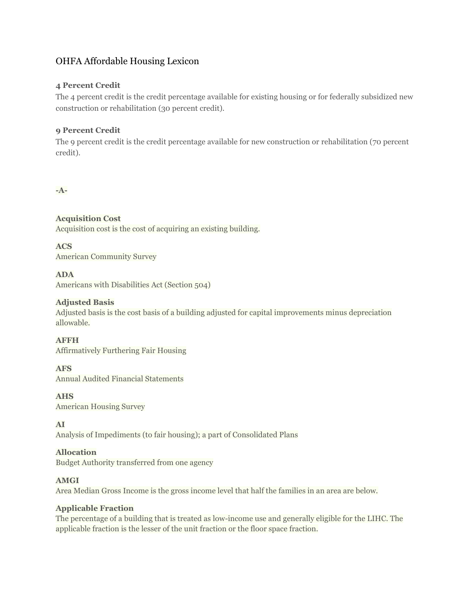# OHFA Affordable Housing Lexicon

# **4 Percent Credit**

The 4 percent credit is the credit percentage available for existing housing or for federally subsidized new construction or rehabilitation (30 percent credit).

# **9 Percent Credit**

The 9 percent credit is the credit percentage available for new construction or rehabilitation (70 percent credit).

# **-A-**

# **Acquisition Cost**

Acquisition cost is the cost of acquiring an existing building.

**ACS** American Community Survey

# **ADA**

Americans with Disabilities Act (Section 504)

# **Adjusted Basis**

Adjusted basis is the cost basis of a building adjusted for capital improvements minus depreciation allowable.

**AFFH** Affirmatively Furthering Fair Housing

## **AFS**

Annual Audited Financial Statements

## **AHS**

American Housing Survey

## **AI**

Analysis of Impediments (to fair housing); a part of Consolidated Plans

## **Allocation**

Budget Authority transferred from one agency

## **AMGI**

Area Median Gross Income is the gross income level that half the families in an area are below.

# **Applicable Fraction**

The percentage of a building that is treated as low-income use and generally eligible for the LIHC. The applicable fraction is the lesser of the unit fraction or the floor space fraction.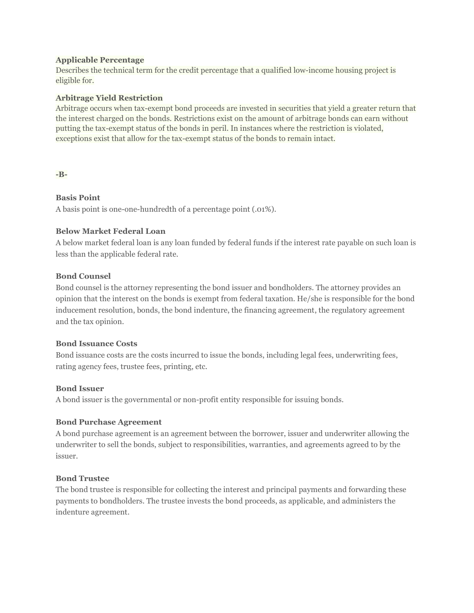#### **Applicable Percentage**

Describes the technical term for the credit percentage that a qualified low-income housing project is eligible for.

#### **Arbitrage Yield Restriction**

Arbitrage occurs when tax-exempt bond proceeds are invested in securities that yield a greater return that the interest charged on the bonds. Restrictions exist on the amount of arbitrage bonds can earn without putting the tax-exempt status of the bonds in peril. In instances where the restriction is violated, exceptions exist that allow for the tax-exempt status of the bonds to remain intact.

#### **-B-**

## **Basis Point**

A basis point is one-one-hundredth of a percentage point (.01%).

#### **Below Market Federal Loan**

A below market federal loan is any loan funded by federal funds if the interest rate payable on such loan is less than the applicable federal rate.

#### **Bond Counsel**

Bond counsel is the attorney representing the bond issuer and bondholders. The attorney provides an opinion that the interest on the bonds is exempt from federal taxation. He/she is responsible for the bond inducement resolution, bonds, the bond indenture, the financing agreement, the regulatory agreement and the tax opinion.

#### **Bond Issuance Costs**

Bond issuance costs are the costs incurred to issue the bonds, including legal fees, underwriting fees, rating agency fees, trustee fees, printing, etc.

#### **Bond Issuer**

A bond issuer is the governmental or non-profit entity responsible for issuing bonds.

#### **Bond Purchase Agreement**

A bond purchase agreement is an agreement between the borrower, issuer and underwriter allowing the underwriter to sell the bonds, subject to responsibilities, warranties, and agreements agreed to by the issuer.

#### **Bond Trustee**

The bond trustee is responsible for collecting the interest and principal payments and forwarding these payments to bondholders. The trustee invests the bond proceeds, as applicable, and administers the indenture agreement.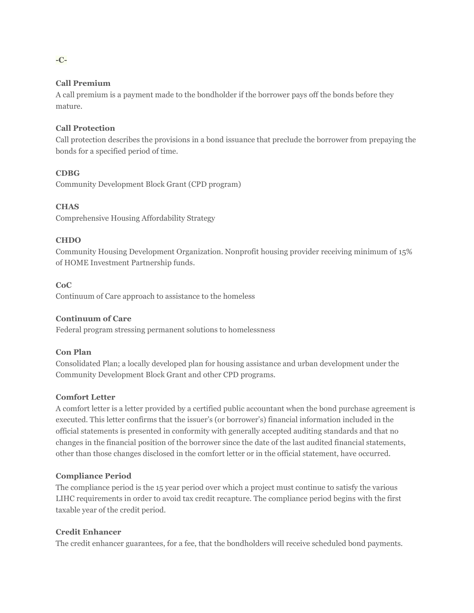# **Call Premium**

A call premium is a payment made to the bondholder if the borrower pays off the bonds before they mature.

# **Call Protection**

Call protection describes the provisions in a bond issuance that preclude the borrower from prepaying the bonds for a specified period of time.

#### **CDBG**

Community Development Block Grant (CPD program)

## **CHAS**

Comprehensive Housing Affordability Strategy

#### **CHDO**

Community Housing Development Organization. Nonprofit housing provider receiving minimum of 15% of HOME Investment Partnership funds.

## **CoC**

Continuum of Care approach to assistance to the homeless

# **Continuum of Care**

Federal program stressing permanent solutions to homelessness

#### **Con Plan**

Consolidated Plan; a locally developed plan for housing assistance and urban development under the Community Development Block Grant and other CPD programs.

## **Comfort Letter**

A comfort letter is a letter provided by a certified public accountant when the bond purchase agreement is executed. This letter confirms that the issuer's (or borrower's) financial information included in the official statements is presented in conformity with generally accepted auditing standards and that no changes in the financial position of the borrower since the date of the last audited financial statements, other than those changes disclosed in the comfort letter or in the official statement, have occurred.

#### **Compliance Period**

The compliance period is the 15 year period over which a project must continue to satisfy the various LIHC requirements in order to avoid tax credit recapture. The compliance period begins with the first taxable year of the credit period.

## **Credit Enhancer**

The credit enhancer guarantees, for a fee, that the bondholders will receive scheduled bond payments.

#### **-C-**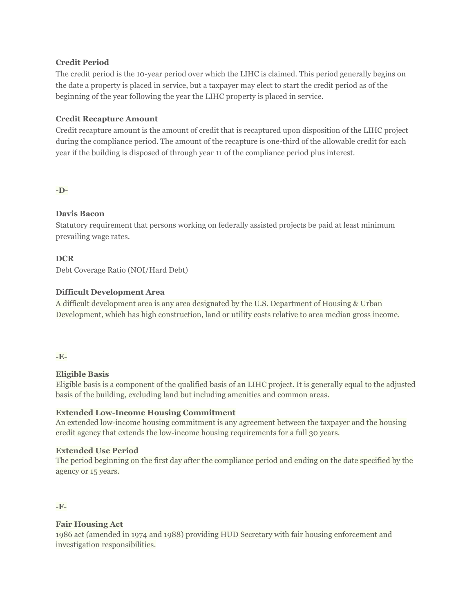# **Credit Period**

The credit period is the 10-year period over which the LIHC is claimed. This period generally begins on the date a property is placed in service, but a taxpayer may elect to start the credit period as of the beginning of the year following the year the LIHC property is placed in service.

# **Credit Recapture Amount**

Credit recapture amount is the amount of credit that is recaptured upon disposition of the LIHC project during the compliance period. The amount of the recapture is one-third of the allowable credit for each year if the building is disposed of through year 11 of the compliance period plus interest.

## **-D-**

# **Davis Bacon**

Statutory requirement that persons working on federally assisted projects be paid at least minimum prevailing wage rates.

# **DCR**

Debt Coverage Ratio (NOI/Hard Debt)

# **Difficult Development Area**

A difficult development area is any area designated by the U.S. Department of Housing & Urban Development, which has high construction, land or utility costs relative to area median gross income.

#### **-E-**

## **Eligible Basis**

Eligible basis is a component of the qualified basis of an LIHC project. It is generally equal to the adjusted basis of the building, excluding land but including amenities and common areas.

## **Extended Low-Income Housing Commitment**

An extended low-income housing commitment is any agreement between the taxpayer and the housing credit agency that extends the low-income housing requirements for a full 30 years.

## **Extended Use Period**

The period beginning on the first day after the compliance period and ending on the date specified by the agency or 15 years.

#### **-F-**

# **Fair Housing Act**

1986 act (amended in 1974 and 1988) providing HUD Secretary with fair housing enforcement and investigation responsibilities.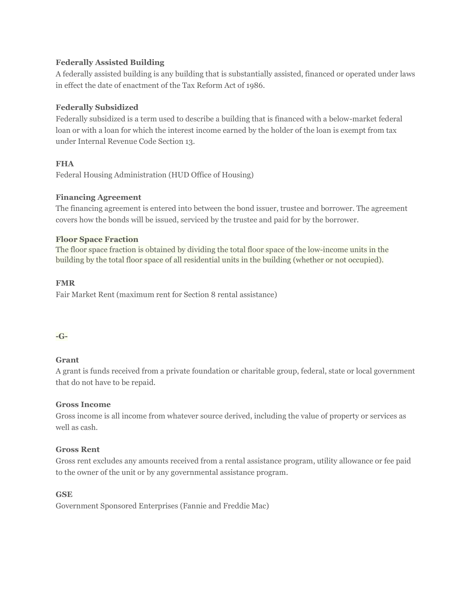# **Federally Assisted Building**

A federally assisted building is any building that is substantially assisted, financed or operated under laws in effect the date of enactment of the Tax Reform Act of 1986.

# **Federally Subsidized**

Federally subsidized is a term used to describe a building that is financed with a below-market federal loan or with a loan for which the interest income earned by the holder of the loan is exempt from tax under Internal Revenue Code Section 13.

# **FHA**

Federal Housing Administration (HUD Office of Housing)

# **Financing Agreement**

The financing agreement is entered into between the bond issuer, trustee and borrower. The agreement covers how the bonds will be issued, serviced by the trustee and paid for by the borrower.

## **Floor Space Fraction**

The floor space fraction is obtained by dividing the total floor space of the low-income units in the building by the total floor space of all residential units in the building (whether or not occupied).

# **FMR**

Fair Market Rent (maximum rent for Section 8 rental assistance)

## **-G-**

## **Grant**

A grant is funds received from a private foundation or charitable group, federal, state or local government that do not have to be repaid.

## **Gross Income**

Gross income is all income from whatever source derived, including the value of property or services as well as cash.

## **Gross Rent**

Gross rent excludes any amounts received from a rental assistance program, utility allowance or fee paid to the owner of the unit or by any governmental assistance program.

# **GSE**

Government Sponsored Enterprises (Fannie and Freddie Mac)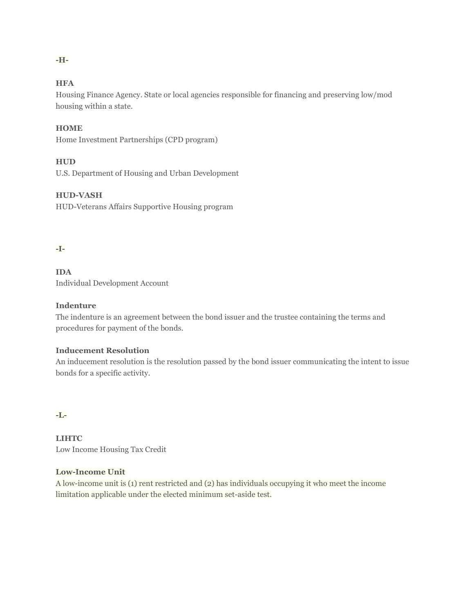# **HFA**

**-H-**

Housing Finance Agency. State or local agencies responsible for financing and preserving low/mod housing within a state.

## **HOME**

Home Investment Partnerships (CPD program)

# **HUD**

U.S. Department of Housing and Urban Development

#### **HUD-VASH**

HUD-Veterans Affairs Supportive Housing program

# **-I-**

**IDA** Individual Development Account

### **Indenture**

The indenture is an agreement between the bond issuer and the trustee containing the terms and procedures for payment of the bonds.

#### **Inducement Resolution**

An inducement resolution is the resolution passed by the bond issuer communicating the intent to issue bonds for a specific activity.

#### **-L-**

**LIHTC** Low Income Housing Tax Credit

# **Low-Income Unit**

A low-income unit is (1) rent restricted and (2) has individuals occupying it who meet the income limitation applicable under the elected minimum set-aside test.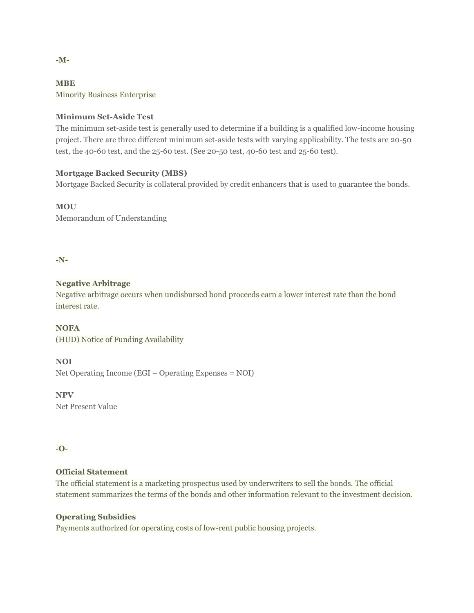**MBE** Minority Business Enterprise

## **Minimum Set-Aside Test**

The minimum set-aside test is generally used to determine if a building is a qualified low-income housing project. There are three different minimum set-aside tests with varying applicability. The tests are 20-50 test, the 40-60 test, and the 25-60 test. (See 20-50 test, 40-60 test and 25-60 test).

# **Mortgage Backed Security (MBS)**

Mortgage Backed Security is collateral provided by credit enhancers that is used to guarantee the bonds.

**MOU** Memorandum of Understanding

**-N-**

# **Negative Arbitrage**

Negative arbitrage occurs when undisbursed bond proceeds earn a lower interest rate than the bond interest rate.

**NOFA** (HUD) Notice of Funding Availability

**NOI**

Net Operating Income (EGI – Operating Expenses = NOI)

**NPV** Net Present Value

## **-O-**

# **Official Statement**

The official statement is a marketing prospectus used by underwriters to sell the bonds. The official statement summarizes the terms of the bonds and other information relevant to the investment decision.

## **Operating Subsidies**

Payments authorized for operating costs of low-rent public housing projects.

**-M-**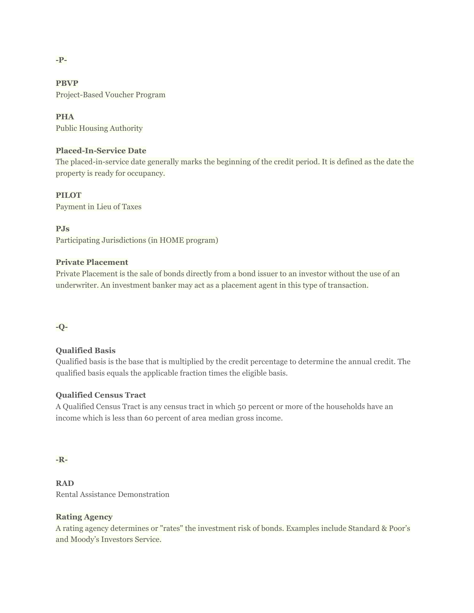#### **-P-**

**PBVP** Project-Based Voucher Program

# **PHA**

Public Housing Authority

# **Placed-In-Service Date**

The placed-in-service date generally marks the beginning of the credit period. It is defined as the date the property is ready for occupancy.

## **PILOT**

Payment in Lieu of Taxes

**PJs**

Participating Jurisdictions (in HOME program)

# **Private Placement**

Private Placement is the sale of bonds directly from a bond issuer to an investor without the use of an underwriter. An investment banker may act as a placement agent in this type of transaction.

**-Q-**

# **Qualified Basis**

Qualified basis is the base that is multiplied by the credit percentage to determine the annual credit. The qualified basis equals the applicable fraction times the eligible basis.

# **Qualified Census Tract**

A Qualified Census Tract is any census tract in which 50 percent or more of the households have an income which is less than 60 percent of area median gross income.

## **-R-**

**RAD** Rental Assistance Demonstration

# **Rating Agency**

A rating agency determines or "rates" the investment risk of bonds. Examples include Standard & Poor's and Moody's Investors Service.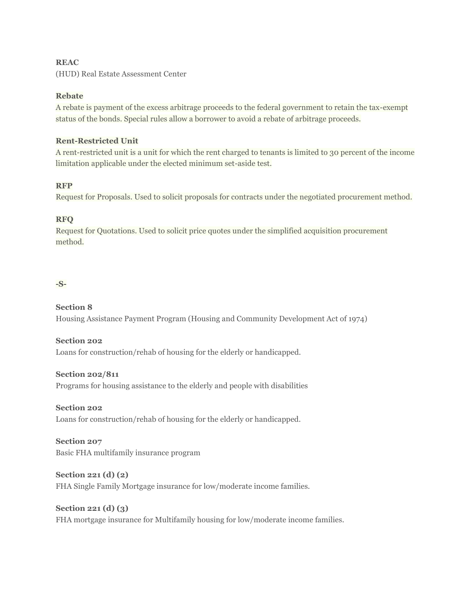# **REAC**

(HUD) Real Estate Assessment Center

## **Rebate**

A rebate is payment of the excess arbitrage proceeds to the federal government to retain the tax-exempt status of the bonds. Special rules allow a borrower to avoid a rebate of arbitrage proceeds.

## **Rent-Restricted Unit**

A rent-restricted unit is a unit for which the rent charged to tenants is limited to 30 percent of the income limitation applicable under the elected minimum set-aside test.

# **RFP**

Request for Proposals. Used to solicit proposals for contracts under the negotiated procurement method.

# **RFQ**

Request for Quotations. Used to solicit price quotes under the simplified acquisition procurement method.

# **-S-**

# **Section 8**

Housing Assistance Payment Program (Housing and Community Development Act of 1974)

**Section 202** Loans for construction/rehab of housing for the elderly or handicapped.

# **Section 202/811**

Programs for housing assistance to the elderly and people with disabilities

## **Section 202**

Loans for construction/rehab of housing for the elderly or handicapped.

# **Section 207** Basic FHA multifamily insurance program

**Section 221 (d) (2)** FHA Single Family Mortgage insurance for low/moderate income families.

**Section 221 (d) (3)** FHA mortgage insurance for Multifamily housing for low/moderate income families.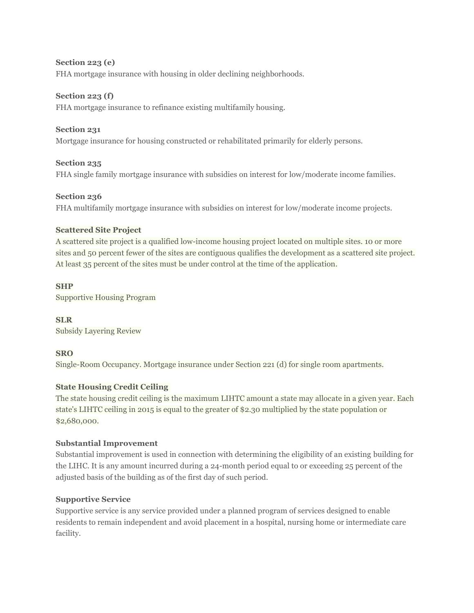**Section 223 (e)**  FHA mortgage insurance with housing in older declining neighborhoods.

# **Section 223 (f)**

FHA mortgage insurance to refinance existing multifamily housing.

# **Section 231**

Mortgage insurance for housing constructed or rehabilitated primarily for elderly persons.

## **Section 235**

FHA single family mortgage insurance with subsidies on interest for low/moderate income families.

## **Section 236**

FHA multifamily mortgage insurance with subsidies on interest for low/moderate income projects.

## **Scattered Site Project**

A scattered site project is a qualified low-income housing project located on multiple sites. 10 or more sites and 50 percent fewer of the sites are contiguous qualifies the development as a scattered site project. At least 35 percent of the sites must be under control at the time of the application.

## **SHP**

Supportive Housing Program

**SLR** Subsidy Layering Review

## **SRO**

Single-Room Occupancy. Mortgage insurance under Section 221 (d) for single room apartments.

## **State Housing Credit Ceiling**

The state housing credit ceiling is the maximum LIHTC amount a state may allocate in a given year. Each state's LIHTC ceiling in 2015 is equal to the greater of \$2.30 multiplied by the state population or \$2,680,000.

## **Substantial Improvement**

Substantial improvement is used in connection with determining the eligibility of an existing building for the LIHC. It is any amount incurred during a 24-month period equal to or exceeding 25 percent of the adjusted basis of the building as of the first day of such period.

## **Supportive Service**

Supportive service is any service provided under a planned program of services designed to enable residents to remain independent and avoid placement in a hospital, nursing home or intermediate care facility.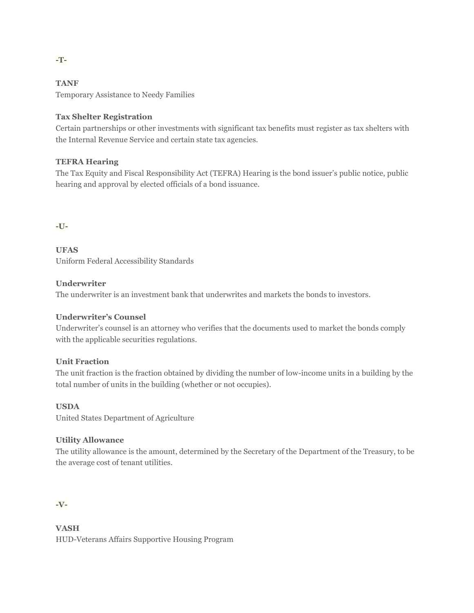# **TANF**

Temporary Assistance to Needy Families

# **Tax Shelter Registration**

Certain partnerships or other investments with significant tax benefits must register as tax shelters with the Internal Revenue Service and certain state tax agencies.

# **TEFRA Hearing**

The Tax Equity and Fiscal Responsibility Act (TEFRA) Hearing is the bond issuer's public notice, public hearing and approval by elected officials of a bond issuance.

## **-U-**

**UFAS** Uniform Federal Accessibility Standards

## **Underwriter**

The underwriter is an investment bank that underwrites and markets the bonds to investors.

# **Underwriter's Counsel**

Underwriter's counsel is an attorney who verifies that the documents used to market the bonds comply with the applicable securities regulations.

## **Unit Fraction**

The unit fraction is the fraction obtained by dividing the number of low-income units in a building by the total number of units in the building (whether or not occupies).

## **USDA**

United States Department of Agriculture

## **Utility Allowance**

The utility allowance is the amount, determined by the Secretary of the Department of the Treasury, to be the average cost of tenant utilities.

**-V-**

**VASH** HUD-Veterans Affairs Supportive Housing Program

**-T-**